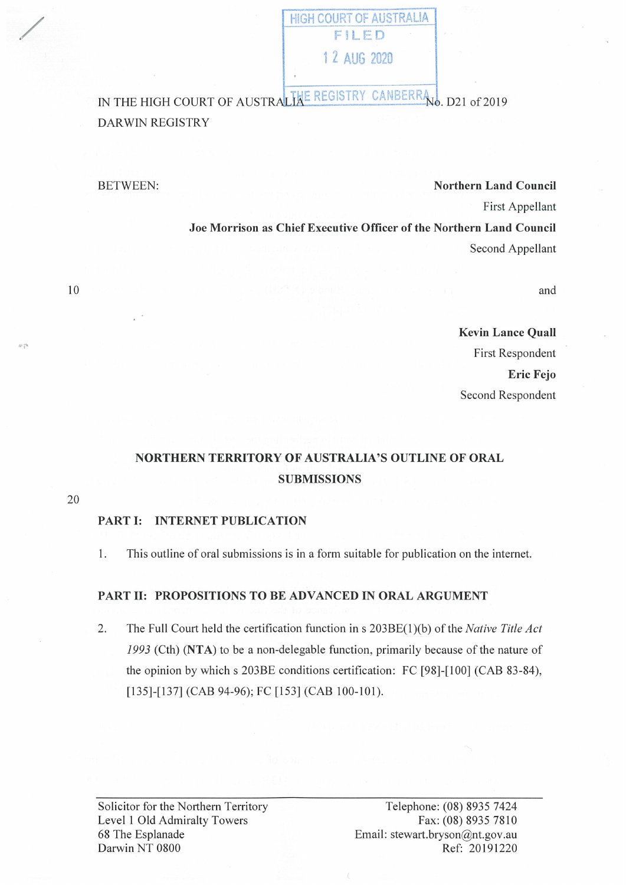FiLED 1 2 AUG 2020

HIGH COURT OF AUSTRALIA

IN THE HIGH COURT OF AUSTRALIAE REGISTRY CANBERRAND. D21 of 2019 DAR WIN REGISTRY

/

### BETWEEN: **Northern Land Council**

First Appellant

**Joe Morrison as Chief Executive Officer of the Northern Land Council**  Second Appellant

and

# **Kevin Lance Quall**  First Respondent **Eric Fejo**  Second Respondent

# **NORTHERN TERRITORY OF AUSTRALIA'S OUTLINE OF ORAL SUBMISSIONS**

20

10

### **PART** I: **INTERNET PUBLICATION**

1. This outline of oral submissions is in a form suitable for publication on the internet.

## **PART** II: **PROPOSITIONS TO BE ADVANCED IN ORAL ARGUMENT**

2. The Full Court held the certification function ins 203BE(l)(b) of the *Native Title Act*  1993 (Cth) **(NTA)** to be a non-delegable function, primarily because of the nature of the opinion by which s 203BE conditions certification: FC [98]-[100] (CAB 83-84), [135]-[137] (CAB 94-96); FC [153] (CAB 100-101).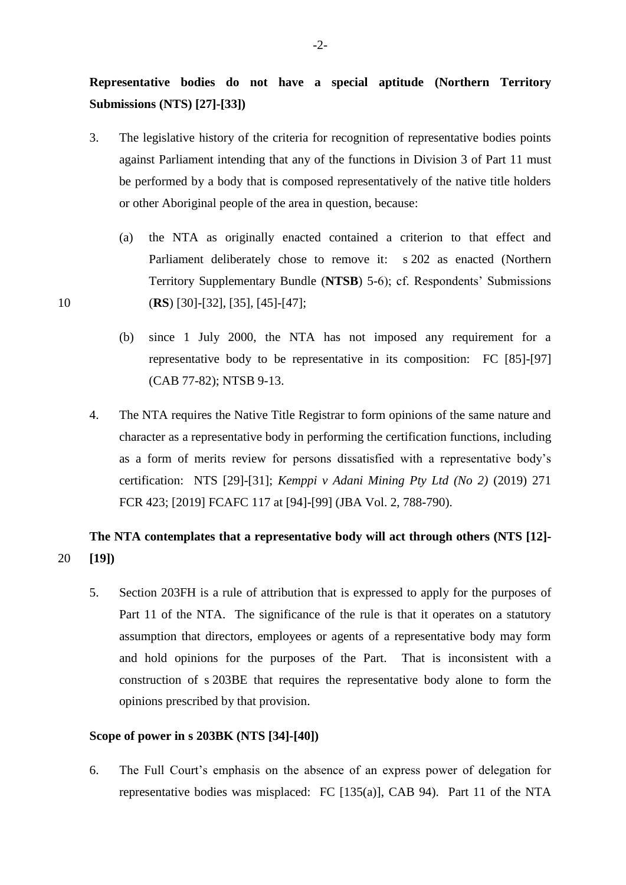**Representative bodies do not have a special aptitude (Northern Territory Submissions (NTS) [27]-[33])**

- 3. The legislative history of the criteria for recognition of representative bodies points against Parliament intending that any of the functions in Division 3 of Part 11 must be performed by a body that is composed representatively of the native title holders or other Aboriginal people of the area in question, because:
- (a) the NTA as originally enacted contained a criterion to that effect and Parliament deliberately chose to remove it: s 202 as enacted (Northern Territory Supplementary Bundle (**NTSB**) 5-6); cf. Respondents' Submissions 10 (**RS**) [30]-[32], [35], [45]-[47];
	- (b) since 1 July 2000, the NTA has not imposed any requirement for a representative body to be representative in its composition: FC [85]-[97] (CAB 77-82); NTSB 9-13.
	- 4. The NTA requires the Native Title Registrar to form opinions of the same nature and character as a representative body in performing the certification functions, including as a form of merits review for persons dissatisfied with a representative body's certification: NTS [29]-[31]; *Kemppi v Adani Mining Pty Ltd (No 2)* (2019) 271 FCR 423; [2019] FCAFC 117 at [94]-[99] (JBA Vol. 2, 788-790).

# **The NTA contemplates that a representative body will act through others (NTS [12]-** 20 **[19])**

5. Section 203FH is a rule of attribution that is expressed to apply for the purposes of Part 11 of the NTA. The significance of the rule is that it operates on a statutory assumption that directors, employees or agents of a representative body may form and hold opinions for the purposes of the Part. That is inconsistent with a construction of s 203BE that requires the representative body alone to form the opinions prescribed by that provision.

## **Scope of power in s 203BK (NTS [34]-[40])**

6. The Full Court's emphasis on the absence of an express power of delegation for representative bodies was misplaced: FC [135(a)], CAB 94). Part 11 of the NTA